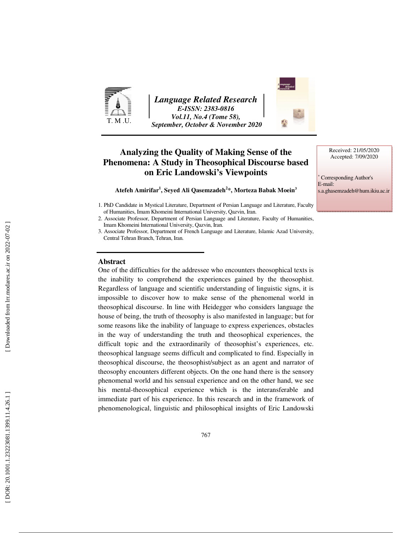

*Language Related Research E-ISSN: 2383-0816 Vol.11, No.4 (Tome 58), September, October & November 2020* 

# **Analyzing the Quality of Making Sense of the Phenomena: A Study in Theosophical Discourse based on Eric Landowski's Viewpoints**

**Atefeh Amirifar 1 , Seyed Ali Qasemzadeh 2 \*, Morteza Babak Moein 3**

#### **Abstract**

One of the difficulties for the addressee who encounters theosophical texts is the inability to comprehend the experiences gained by the theosophist. Regardless of language and scientific understanding of linguistic signs, it is impossible to discover how to make sense of the phenomenal world in theosophical discourse. In line with Heidegger who considers language the house of being, the truth of theosophy is also manifested in language; but for some reasons like the inability of language to express experiences, obstacles in the way of understanding the truth and theosophical experiences, the difficult topic and the extraordinarily of theosophist's experiences, etc. theosophical language seems difficult and complicated to find. Especially in theosophical discourse, the theosophist/subject as an agent and narrator of theosophy encounters different objects. On the one hand there is the sensory phenomenal world and his sensual experience and on the other hand, we see his mental-theosophical experience which is the interansferable and immediate part of his experience. In this research and in the framework of phenomenological, linguistic and philosophical insights of Eric Landowski



∗ Corresponding Author's E-mail: s.a.ghasemzadeh@hum.ikiu.ac.ir

<sup>1.</sup> PhD Candidate in Mystical Literature, Department of Persian Language and Literature, Faculty of Humanities, Imam Khomeini International University, Qazvin, Iran.

<sup>2.</sup> Associate Professor, Department of Persian Language and Literature, Faculty of Humanities, Imam Khomeini International University, Qazvin, Iran.

<sup>3.</sup> Associate Professor, Department of French Language and Literature, Islamic Azad University, Central Tehran Branch, Tehran, Iran.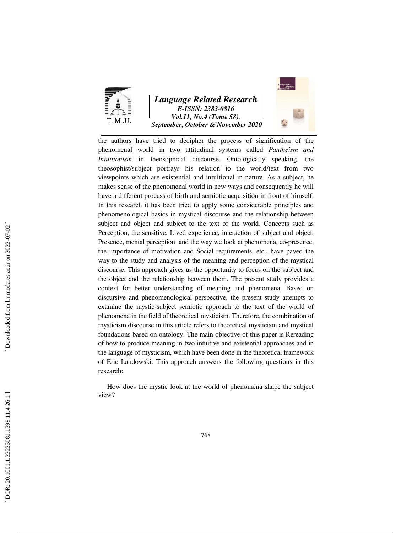

# *Language Related Research E-ISSN: 2383-0816 Vol.11, No.4 (Tome 58), September, October & November 2020*



the authors have tried to decipher the process of signification of the phenomenal world in two attitudinal systems called *Pantheism and Intuitionism* in theosophical discourse. Ontologically speaking, the theosophist/subject portrays his relation to the world/text from two viewpoints which are existential and intuitional in nature. As a subject, he makes sense of the phenomenal world in new ways and consequently he will have a different process of birth and semiotic acquisition in front of himself. In this research it has been tried to apply some considerable principles and phenomenological basics in mystical discourse and the relationship between subject and object and subject to the text of the world. Concepts such as Perception, the sensitive, Lived experience, interaction of subject and object, Presence, mental perception and the way we look at phenomena, co-presence, the importance of motivation and Social requirements, etc., have paved the way to the study and analysis of the meaning and perception of the mystical discourse. This approach gives us the opportunity to focus on the subject and the object and the relationship between them. The present study provides a context for better understanding of meaning and phenomena. Based on discursive and phenomenological perspective, the present study attempts to examine the mystic-subject semiotic approach to the text of the world of phenomena in the field of theoretical mysticism. Therefore, the combination of mysticism discourse in this article refers to theoretical mysticism and mystical foundations based on ontology. The main objective of this paper is Rereading of how to produce meaning in two intuitive and existential approaches and in the language of mysticism, which have been done in the theoretical framework of Eric Landowski. This approach answers the following questions in this research:

How does the mystic look at the world of phenomena shape the subject view?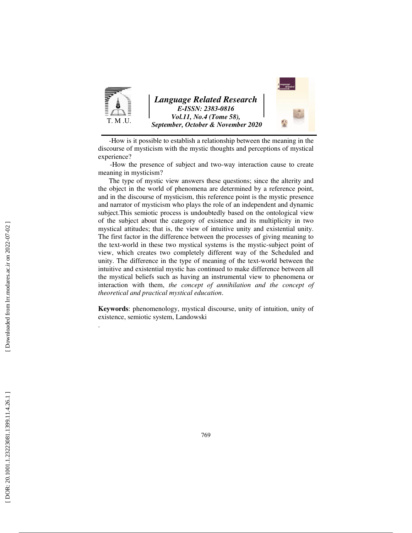

 - How is it possible to establish a relationship between the meaning in the discourse of mysticism with the mystic thoughts and perceptions of mystical experience?

 - How the presence of subject and two-way interaction cause to create meaning in mysticism?

 The type of mystic view answers these questions; since the alterity and the object in the world of phenomena are determined by a reference point, and in the discourse of mysticism, this reference point is the mystic presence and narrator of mysticism who plays the role of an independent and dynamic subject.This semiotic process is undoubtedly based on the ontological view of the subject about the category of existence and its multiplicity in two mystical attitudes; that is, the view of intuitive unity and existential unity. The first factor in the difference between the processes of giving meaning to the text-world in these two mystical systems is the mystic-subject point of view, which creates two completely different way of the Scheduled and unity. The difference in the type of meaning of the text-world between the intuitive and existential mystic has continued to make difference between all the mystical beliefs such as having an instrumental view to phenomena or interaction with them, *the concept of annihilation and the concept of theoretical and practical mystical education*.

**Keywords**: phenomenology, mystical discourse, unity of intuition, unity of existence, semiotic system, Landowski

.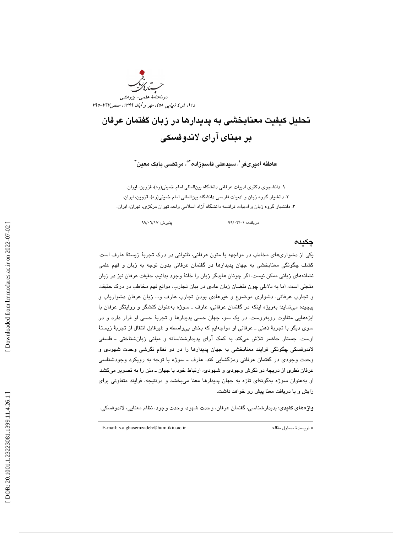

# تحليل كيفيت معنابخشي به پديدارها در زبان گفتمان عرفان بر مبناي آراي لاندوفسكي

عاطفه اميرىفر<sup>י</sup>، سيدعلى قاسمزاده<sup>٬\*</sup>، مرتضى بابک معين<sup>۳</sup>

۰. دانشجوي دكتري ادبيات عرفاني دانشگاه بينالمللي امام خميني(ره)، قزوين، ايران. 2. دانشيار گروه زبان و ادبيات فارسي دانشگاه بينالمللي امام خميني(ره)، قزوين، ايران. 3. دانشيار گروه زبان و ادبيات فرانسه دانشگاه آزاد اسلامي واحد تهران مركزي، تهران، ايران.

دريافت: 01/ 03/ 99 پذيرش: 17/ 06/ 99

#### چكيده

يكي از دشواري هاي مخاطب در مواجهه با متون عرفاني، ناتواني در درك تجربة زيستة عارف است. كشف چگونگي معنابخشي به جهان پديدارها در گفتمان عرفاني بدون توجه به زبان و فهم علمي نشانههاي زباني ممكن نيست. اگر چونان هايدگر زبان را خانة وجود بدانيم، حقيقت عرفان نيز در زبان متجلي است ، اما به دلايلي چون نقضان زبان عادي در بيان تجارب، موانع فهم مخاطب در درك حقيقت و تجارب عرفاني، دشواري موضوع و غيرعادي بودن تجارب عارف و... زبان عرفان دشوارياب و پيچيده مينمايد؛ بهويژه اينكه در گفتمان عرفاني، عارف ـ سوژه بهعنوان كنشگر و روايتگر عرفان با ابژههايی متفاوت روبهروست. در یک سو، جهان حسی پدیدارها و تجربهٔ حسی او قرار دارد و در سوي ديگر با تجربهٔ ذهني ــ عرفاني او مواجهايم كه بخش بيواسطه و غيرقابل انتقال از تجربهٔ زيستهٔ اوست. جستار حاضر تلاش ميكند به كمك آراي پديدارشناسانه و مباني زبانشناختي ـ فلسفي لاندوفسكي چگونگي فرايند معنابخشي به جهان پديدارها را در دو نظام نگرشي وحدت شهودي و وحدت وجودي در گفتمان عرفاني رمزگشايي كند. عارف ـ سوژه با توجه به رويكرد وجودشناسي عرفان نظري از دريچة دو نگرش وجودي و شهودي، ارتباط خود با جهان ـ متن را به تصوير ميكشد. او بهعنوان سوژه بهگونهاي تازه به جهان پديدارها معنا ميبخشد و درنتيجه، فرايند متفاوتي براي زايش و يا دريافت معنا پيش رو خواهد داشت.

ــــــــــــــــــــــــــــــــــــــــــــــــــــــــــــــــــــــــــــــــــــــــــــــــــــــــــــــــــــــــــــــــــــــــــ هاي كليدي: پديدارشناسي، گفتمان عرفان، وحدت شهود، وحدت وجود، نظام معنايي، لاندوفسكي. واژه

E-mail: s.a.ghasemzadeh@hum.ikiu.ac.ir :مقاله مسئول نويسندة\*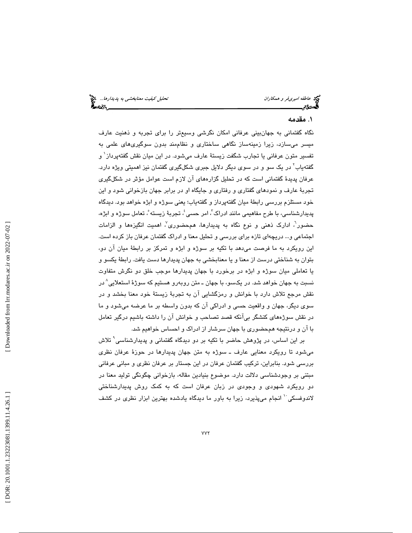## . مقدمه 1

نگاه گفتماني به جهانبيني عرفاني امكان نگرشي وسيعتر را براي تجربه و ذهنيت عارف ميسر ميسازد، زيرا زمينهساز نگاهي ساختاري و نظاممند بدون سوگيريهاي علمي به تفسیر متون عرفانی یا تجارب شگفت زیستهٔ عارف میشود. در این میان نقش گفتهپرداز<sup>۰</sup> و گفتهياب<sup>۲</sup> در يک سو و در سوی ديگر دلايل جبری شکلگيری گفتمان نيز اهميتی ويژه دارد. عرفان پديدة گفتماني است كه در تحليل گزارههاي آن لازم است عوامل مؤثر در شكلگيري تجربة عارف و نمودهاي گفتاري و رفتاري و جايگاه او در برابر جهان بازخواني شود و اين خود مستلزم بررسي رابطة ميان گفتهپرداز و گفتهياب؛ يعني سوژه و ابژه خواهد بود. ديدگاه پدیدارشناسی، با طرح مفاهیمی مانند ادراک<sup>"</sup>، امر حسی<sup>؛</sup>، تجربهٔ زیسته ْ، تعامل سوژه و ابژه، حضور<sup>י</sup>، ادارک ذهنی و نوع نگاه به پدیدارها، همحضوری<sup>٬</sup> اهمیت انگیزهها و الزامات اجتماعي و... دريچهاي تازه براي بررسي و تحليل معنا و ادراك گفتمان عرفان باز كرده است. اين رويكرد به ما فرصت ميدهد با تكيه بر سوژه و ابژه و تمركز بر رابطة ميان آن دو، بتوان به شناختي درست از معنا و يا معنابخشي به جهان پديدارها دست يافت. رابطة يكسو و يا تعاملي ميان سوژه و ابژه در برخورد با جهان پديدارها موجب خلق دو نگرش متفاوت نسبت به جهان خواهد شد. در يکسو، با جهان ــ متن روبهرو هستيم که سوژهٔ استعلايي^در نقش مرجع تلاش دارد با خوانش و رمزگشايي آن به تجربهٔ زيستهٔ خود معنا بخشد و در سوي ديگر، جهان و واقعيت حسي و ادراكي آن كه بدون واسطه بر ما عرضه ميشود و ما در نقش سوژههای كنشگر بیِlنكه قصد تصاحب و خوانش ان را داشته باشیم درگیر تعامل با آن و درنتيجه همحضوري با جهان سرشار از ادراك و احساس خواهيم شد.

بر اين اساس، در پژوهش حاضر با تكيه بر دو ديدگاه گفتماني و پديدارشناسي 9 تلاش ميشود تا رويكرد معنايي عارف ـ سوژه به متن جهان پديدارها در حوزة عرفان نظري بررسي شود . بنابراين ، تركيب گفتمان عرفان در اين جستار بر عرفان نظري و مباني عرفاني مبتني بر وجودشناسي دلالت دارد. موضوع بنيادين مقاله، بازخواني چگونگي توليد معنا در دو رويكرد شهودي و وجودي در زبان عرفان است كه به كمك روش پديدارشناختي لاندوفسكي <sup>۱</sup> انجام ميپذيرد، زيرا به باور ما ديدگاه يادشده بهترين ابزار نظري در كشف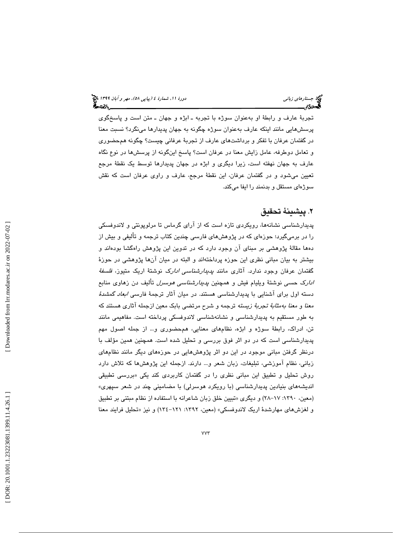تجربة عارف و رابطة او بهعنوان سوژه با تجربه ـ ابژه و جهان ـ متن است و پاسخگوي پرسشهايي مانند اينكه عارف بهعنوان سوژه چگونه به جهان پديدارها مينگرد؟ نسبت معنا در گفتمان عرفان با تفكر و برداشتهاي عارف از تجربة عرفاني چيست؟ چگونه همحضوري و تعامل دوطرفه، عامل زايش معنا در عرفان است؟ پاسخ اينگونه از پرسشها در نوع نگاه عارف به جهان نهفته است، زيرا ديگری و ابژه در جهان پديدارها توسط يک نقطۀ مرجع تعيين ميشود و در گفتمان عرفان، اين نقطة مرجع، عارف و راوي عرفان است كه نقش سوژهاي مستقل و بدنمند را ايفا ميكند.

# . پيشينة تحقيق 2

پديدارشناسي نشانهها، رويكردي تازه است كه از آراي گرماس تا مرلوپونتي و لاندوفسكي را در برميگيرد؛ حوزهاي كه در پژوهشهاي فارسي چندين كتاب ترجمه و تأليفي و بيش از دهها مقالهٔ پژوهشی بر مبنای آن وجود دارد كه در تدوین این پژوهش راهگشا بودهاند و بيشتر به بيان مباني نظري اين حوزه پرداختهاند و البته در ميان آنها پژوهشي در حوزة گفتمان عرفان وجود ندارد. آثاری مانند *پدیدارشناسی ادارک* نوشتهٔ اریک متیوز، *فلسفهٔ ادارک حسی* نوشتهٔ ویلیام فیش و همچنین *پدیدارشناسی هوسرل* تألیف دن زهاوی منابع دسته اول براي آشنايي با پديدارشناسي هستند. در ميان آثار ترجمة فارسي ابعاد گمشدة معنا و معنا بهمثابة تجربة زيسته ترجمه و شرح مرتضي بابك معين ازجمله آثاري هستند كه به طور مستقيم به پديدارشناسي و نشانهشناسي لاندوفسكي پرداخته است. مفاهيمي مانند تن، ادراك، رابطة سوژه و ابژه، نظامهاي معنايي، همحضوري و... از جمله اصول مهم پديدارشناسي است كه در دو اثر فوق بررسي و تحليل شده است. همچنين همين مؤلف با درنظر گرفتن مباني موجود در اين دو اثر پژوهشهايي در حوزههاي ديگر مانند نظامهاي زباني، نظام آموزشي، تبليغات، زبان شعر و... دارند. ازجمله اين پژوهشها كه تلاش دارد روش تحلیل و تطبیق این مبانی نظری را در گفتمان کاربردی کند یکی «بررسی تطبیقی انديشههاي بنيادين پديدارشناسي (با رويكرد هوسرلي) با مضاميني چند در شعر سپهري » (معين، ١٣٩٠: ٦٧–٢٨) و ديگري «تبيين خلق زبان شاعرانه با استفاده از نظام مبتني بر تطبيق و لغزشهای مهارشدهٔ اریک لاندوفسکی» (معین، ۱۳۹۲: ۱۲۱–۱۳٤) و نیز «تحلیل فرایند معنا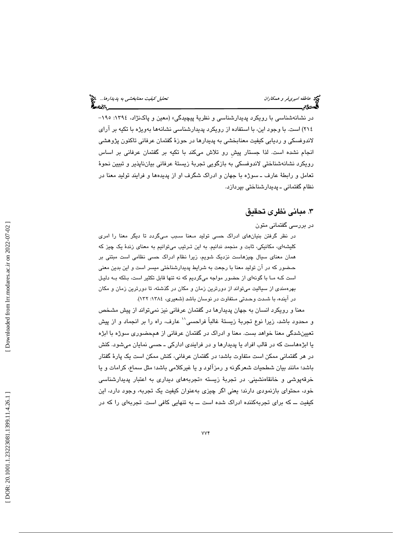در نشانهشناسي با رويكرد پديدارشناسي و نظرية پيچيدگي » (معين و پاكنژاد، :1394 -195 ۲۱۶) است. با وجود اين، با استفاده از رويكرد پديدارشناسي نشانهها بهويژه با تكيه بر اراي لاندوفسكي و رديابي كيفيت معنابخشي به پديدارها در حوزة گفتمان عرفاني تاكنون پژوهشي انجام نشده است. لذا جستار پيشِ رو تلاش ميكند با تكيه بر گفتمان عرفاني بر اساس رويكرد نشانهشناختي لاندوفسكي به بازگويي تجربة زيستة عرفاني بيانناپذير و تبيين نحوة تعامل و رابطة عارف ـ سوژه با جهان و ادراك شگرف او از پديدهها و فرايند توليد معنا در نظام گفتماني ـ پديدارشناختي بپردازد.

# . مباني نظري تحقيق 3

در بررسي گفتماني متون

در نظر گرفتن بنيان هاي ادراك حسي توليد مـعنا سـبب مـيگردد تا ديگر معنا را امري كليشه اي، مكانيكي، ثابت و منجمد ندانيم. به اين تـرتيب ميتوانيم به معناي زندة يك چيز كه همان معناي سيال چيزهاست نزديک شويم، زيرا نظام ادراک حسي نظامي است مبتني بر حـضور كه در آن توليد معنا با رجعت به شرايط پديدارشناختي ميسر است و اين بدين معني است كـه مـا با گونه اي از حضور مواجه ميگرديم كه نه تنها قابل تكثير است، بـلكه بـه دليـل بهرهمندي از سياليت ميتواند از دورترين زمان و مكان در گذشته تا، دورترين زمان و مكان در آينده، با شـدت وحـدتي مـتفاوت در نوسان باشد (شعيري، :1384 132 ).

معنا و رويكرد انسان به جهان پديدارها در گفتمان عرفاني نيز نميتواند از پيش مشخص و محدود باشد، زيرا نوع تجربهٔ زيستهٔ غالباً فراحسي'' عارف، راه را بر انجماد و از پيش تعيينشدگي معنا خواهد بست. معنا و ادراك در گفتمان عرفاني از همحضوري سوژه با ابژه يا ابژههاست كه در قالب افراد يا پديدارها و در فرايندي اداركي ـ حسي نمايان ميشود. كنش در هر گفتماني ممكن است متفاوت باشد؛ در گفتمان عرفاني، كنش ممكن است يك پارة گفتار باشد؛ مانند بيان شطحيات شعرگونه و رمزآلود و يا غيركلامي باشد؛ مثل سماع، كرامات و يا خرقهپوشی و خانقاەنشینی. در تجربهٔ زیسته «تجربههای دیداری به اعتبار پدیدارشناس*ی* خود، محتواي بازنمودي دارند؛ يعني اگر چيزي بهعنوان كيفيت يك تجربه، وجود دارد، اين كيفيت ــ كه براي تجربهكننده ادراك شده است ــ به تنهايي كافي است. تجربهاي را كه در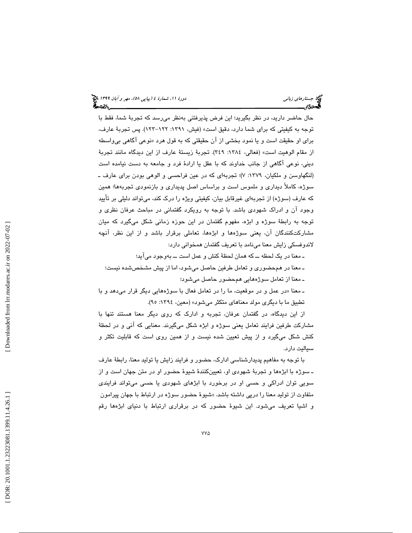حال حاضر داريد، در نظر بگيريد؛ اين فرض پذيرفتني بهنظر ميرسد كه تجربة شما، فقط با توجه به كيفيتي كه براي شما دارد، دقيق است » (فيش، :1391 -122 123). پس تجربة عارف، برای او حقیقت است و یا نمود بخشی از ان حقیقتی که به قول هرد «نوعی اگاهی بی<sub>0</sub>اسطه از مقام الوهيت است» (فعالي، :1384 349). تجربة زيستة عارف از اين ديدگاه مانند تجربة ديني، نوعي آگاهي از جانب خداوند كه با عقل يا ارادة فرد و جامعه به دست نيامده است (لنگهاوسن و ملكيان، ١٣٧٩: ٧)؛ تجربهاي كه در عين فراحسي و الوهي بودن براي عارف ـ سوژه، كاملاً ديداري و ملموس است و براساس اصل پديداري و بازنمودي تجربهها؛ همين كه عارف (سوژه) از تجربهاي غيرقابل بيان، كيفيتي ويژه را درك كند، ميتواند دليلي بر تأييد وجود آن و ادراك شهودي باشد. با توجه به رويكرد گفتماني در مباحث عرفان نظري و توجه به رابطة سوژه و ابژه، مفهوم گفتمان در اين حوزه زماني شكل ميگيرد كه ميان مشاركتكنندگان آن ، يعني سوژهها و ابژهها، تعاملي برقرار باشد و از اين نظر، آنچه لاندوفسكي زايش معنا مينامد با تعريف گفتمان همخواني دارد:

ـ معنا در يك لحظه ــ كه همان لحظ ة كنش و عمل است به ــ وجود ميآيد؛

 ـ معنا در همحضوري و تعامل طرفين حاصل ميشود ، اما از پيش مشخصشده نيست؛ ـ معنا از تعامل سوژههايي همحضور حاصل ميشود؛

ـ معنا «در عمل و در موقعیت، ما را در تعامل فعال با سوژههایی دیگر قرار میدهد و با تطبيق ما با ديگري مولد معناهاي متكثر ميشود» (معين، :1394 )95.

از اين ديدگاه، در گفتمان عرفان، تجربه و ادارك كه روي ديگر معنا هستند تنها با مشاركت طرفين فرايند تعامل يعني سوژه و ابژه شكل ميگيرند. معنايي كه آني و در لحظ ة كنش شكل ميگيرد و از پيش تعيين شده نيست و از همين روي است كه قابليت تكثر و سياليت دارد.

با توجه به مفاهیم پدیدارشناسی ادارک، حضور و فرایند زایش یا تولید معنا، رابطهٔ عارف ـ سوژه با ابژهها و تجربة شهودي او، تعيينكنندة شيوة حضور او در متن جهان است و از سويي توان ادراكي و حسي او در برخورد با ابژهاي شهودي يا حسي ميتواند فرايندي متفاوت از تولید معنا را درپی داشته باشد. «شیوهٔ حضور سوژه در ارتباط با جهان پیرامون و اشيا تعريف ميشود. اين شيوهٔ حضور كه در برقراری ارتباط با دنيای ابژهها رقم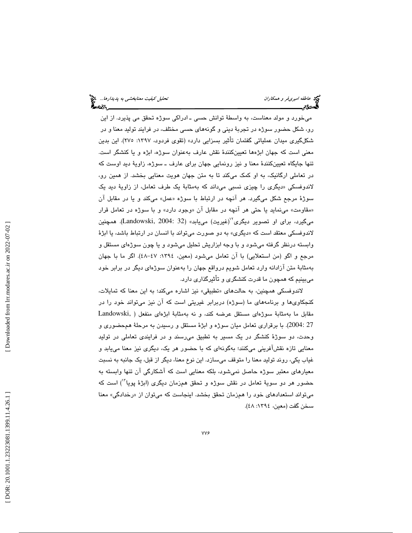میخورد و مولد معناست، به واسطهٔ توانش حسی ــ ادراکی سوژه تحقق می پذیرد. از این رو، شكل حضور سوژه در تجربهٔ ديني و گونههای حسی مختلف، در فرايند توليد معنا و در شكلگيري ميدان عملياتي گفتمان تأثير بسزايي دارد » (تقوي فردود، :1397 275). اين بدين معني است كه جهان ابژهها تعيينكنندة نقش عارف بهعنوان سوژه، ابژه و يا كنشگر است. تنها جايگاه تعيينكنندة معنا و نيز رونمايي جهان براي عارف ـ سوژه، زاوية ديد اوست كه در تعاملي ارگانيك، به او كمك ميكند تا به متن جهان هويت معنايي بخشد. از همين رو، لاندوفسكي «ديگرى را چيزى نسببي مىداند كه بەمثابهٔ يک طرف تعامل، از زاويهٔ ديد يک سوژهٔ مرجع شکل میگیرد. هر انچه در ارتباط با سوژه «عمل» میکند و یا در مقابل ان «مقاومت» مينمايد يا حتى هر انچه در مقابل ان «وجود دارد» و با سوژه در تعامل قرار میگیرد، برای او تصویر دیگری<sup>٬٬</sup>(غیریت) مییابد» (Landowski, 2004: 32). همچنین لاندوفسكي معتقد است كه «ديگرى» به دو صورت ميتواند با انسان در ارتباط باشد، يا ابژهٔ وابسته درنظر گرفته ميشود و با وجه ابزاريش تحليل ميشود و يا چون سوژهاي مستقل و مرجع و اگو (من استعلايي) با آن تعامل ميشود (معين، :1394 47- 48). اگر ما با جهان بهمثابة متن آزادانه وارد تعامل شويم درواقع جهان را بهعنوان سوژهاي ديگر در برابر خود ميبينيم كه همچون ما قدرت كنشگري و تأثيرگذاري دارد.

لاندوفسكي همچنين، به حالتهاي «تطبيقي» نيز اشاره ميكند؛ به اين معنا كه تمايلات، كنجكاويها و برنامههاي ما (سوژه) دربرابر غيريتي است كه آن نيز ميتواند خود را در مقابل ما بهمثابة سوژهاي مستقل عرضه كند، و نه بهمثابة ابژهاي منفعل ( ,Landowski 27 2004: ). با برقراري تعامل ميان سوژه و ابژة مستقل و رسيدن به مرحلة همحضوري و وحدت، دو سوژة كنشگر در يك مسير به تطبيق ميرسند و در فرايندي تعاملي در توليد معنايي تازه نقشآفريني ميكنند؛ بهگونهاي كه با حضور هر يك، ديگري نيز معنا مييابد و غياب يكي، روند توليد معنا را متوقف ميسازد. اين نوع معنا، ديگر از قبل، يك جانبه به نسبت معيارهاي معتبر سوژه حاصل نميشود، بلكه معنايي است كه آشكارگي آن تنها وابسته به حضور هر دو سويهٔ تعامل در نقش سوژه و تحقق همزمان ديگري (ابژهٔ پويا``) است كه میتواند استعدادهای خود را همزمان تحقق بخشد. اینجاست كه میتوان از «رخدادگی» معنا سخن گفت (معين، :1394 )48.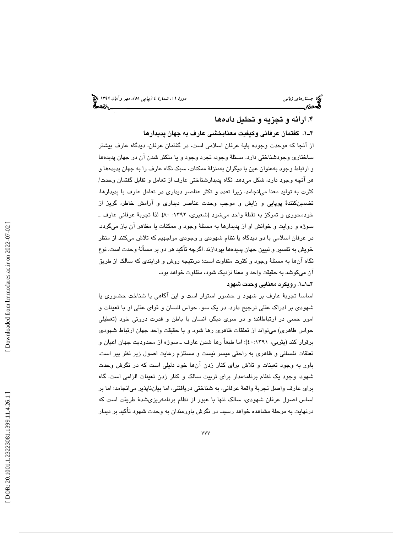# . ارائه و تجزيه و تحليل دادهها 4

1ـ4 . گفتمان عرفاني وكيفيت معنابخشي عارف به جهان پديدارها از انجا كه «وحدت وجود» پايهٔ عرفان اسلامی است، در گفتمان عرفان، ديدگاه عارف بيشتر ساختاري وجودشناختي دارد. مسئلة وجود، تجرد وجود و يا متكثر شدن آن در جهان پديدهها و ارتباط وجود بهعنوان عين با ديگران بهمنزلة ممكنات، سبك نگاه عارف را به جهان پديدهها و هر آنچه وجود دارد، شكل ميدهد. نگاه پديدارشناختي عارف از تعامل و تقابل گفتمان وحدت/ كثرت به توليد معنا ميانجامد ، زيرا تعدد و تكثر عناصر ديداري در تعامل عارف با پديدارها، تضمينكنندة پوپايي و زايش و موجب وحدت عناصر ديداري و آرامش خاطر، گريز از خودمحوري و تمركز به نقطة واحد مي شود (شعيري، ١٣٩٢: ٨٠). لذا تجربة عرفاني عارف ـ سوژه و روايت و خوانش او از پديدارها به مسئلة وجود و ممكنات يا مظاهر آن باز ميگردد. در عرفان اسلامي با دو ديدگاه يا نظام شهودي و وجودي مواجهيم كه تلاش ميكنند از منظر خويش به تفسير و تبيين جهان پديدهها بپردازند. اگرچه تأكيد هر دو بر مسألة وحدت است، نوع نگاه آنها به مسئلة وجود و كثرت متفاوت است؛ درنتيجه روش و فرايندي كه سالك از طريق آن ميكوشد به حقيقت واحد و معنا نزديك شود، متفاوت خواهد بود.

### 1ـ1ـ4 . رويكرد معنايي وحدت شهود

اساسا تجربة عارف بر شهود و حضور استوار است و اين آگاهي يا شناخت حضوري يا شهودي بر ادراك عقلي ترجيح دارد. در يك سو، حواس انسان و قواي عقلي او با تعينات و امور حسی در ارتباطاند؛ و در سوی دیگر، انسان با باطن و قدرت درونی خود (تعطیلی حواس ظاهري) ميتواند از تعلقات ظاهري رها شود و با حقيقت واحد جهان ارتباط شهودي برقرار كند (يثربي، 40:1391)؛ اما طبعاً رها شدن عارف ـ سوژه از محدوديت جهان اعيان و تعلقات نفساني و ظاهري به راحتي ميسر نيست و مستلزم رعايت اصول زير نظر پير است. باور به وجود تعينات و تلاش براي كنار زدن آنها خود دليلي است كه در نگرش وحدت شهود، وجود يك نظام برنامهمدار براي تربيت سالك و كنار زدن تعينات الزامي است. گاه براي عارف واصل تجربة واقعة عرفاني، به شناختي دريافتني ، اما بيانناپذير ميانجامد؛ اما بر اساس اصول عرفان شهودي، سالك تنها با عبور از نظام برنامهريزيشدة طريقت است كه درنهايت به مرحلة مشاهده خواهد رسيد. در نگرش باورمندان به وحدت شهود تأكيد بر ديدار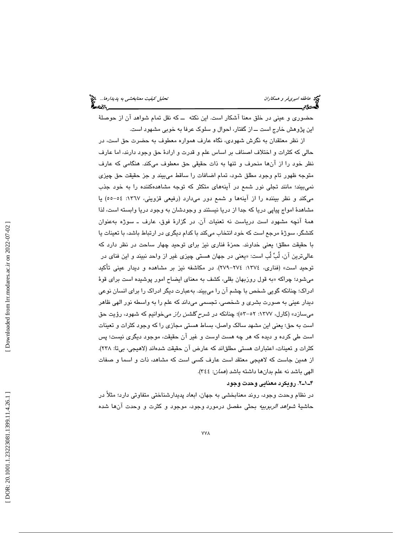حضوري و عيني در خلق معنا آشكار است. اين نكته ــ كه نقل تمام شواهد آن از حوصلة اين پژوهش خارج است ــ از گفتار، احوال و سلوك عرفا به خوبي مشهود است.

از نظر معتقدان به نگرش شهودي، نگاه عارف همواره معطوف به حضرت حق است، در حالي كه كثرات و اختلاف اصناف بر اساس علم و قدرت و اراد ة حق وجود دارند ، اما عارف نظر خود را از آنها منحرف و تنها به ذات حقيقي حق معطوف ميكند. هنگامي كه عارف متوجه ظهور تام وجود مطلق شود، تمام اضافات را ساقط ميبيند و جز حقيقت حق چيزي نميبيند؛ مانند تجلي نور شمع در آينههاي متكثر كه توجه مشاهدهكننده را به خود جذب ميكند و نظر بيننده را از آينهها و شمع دور ميدارد (رفيعي قزويني، :1367 -55 54 ) يا مشاهدة امواج پياپي دريا كه جدا از دريا نيستند و وجودشان به وجود دريا وابسته است، لذا ةهم آنچه مشهود است درياست نه تعنيات آن. در گزارة فوق، عارف ـ سوژه بهعنوان كنشگر، سوژة مرجع است كه خود انتخاب ميكند با كدام ديگري در ارتباط باشد، با تعينات يا با حقيقت مطلق؛ يعني خداوند. حمزهٔ فناري نيز براي توحيد چهار ساحت در نظر دارد كه عاليترين ان، لَبِّ لَب است: «يعني در جهان هستي چيزي غير از واحد نبيند و اين فناي در توحيد است» (فناري، :1374 -274 279). در مكاشفه نيز بر مشاهده و ديدار عيني تأكيد میشود؛ چراکه «به قول روزبهان بقلی، کشف به معنای ایضاح امور پوشیده است برای قوهٔ ادراك؛ چنانكه گويي شخص با چشم آن را ميبيند. بهعبارت ديگر ادراك را براي انسان نوعي ديدار عيني به صورت بشري و شخصي، تجسمي ميداند كه علم را به واسطه نور الهي ظاهر میسازد» (کارل، ۱۳۷۷: ۵۲–۵۳)؛ چنانکه در *شرح گلشن راز* میخوانیم که شهود، رؤیت حق است به حق؛ يعني اين مشهد سالك واصل، بساط هستي مجازي را كه وجود كثرات و تعينات است طي كرده و ديده كه هر چه هست اوست و غير آن حقيقت، موجود ديگري نيست؛ پس كثرات و تعينات، اعتبارات هستي مطلقاند كه عارض آن حقيقت شده اند (لاهيجي، بي تا: 238). از همين جاست كه لاهيجي معتقد است عارف كسي است كه مشاهد، ذات و اسما و صفات الهي باشد نه علم بدانها داشته باشد (همان: 344 ).

#### . 2ـ1ـ4 رويكرد معنايي وحدت وجود

در نظام وحدت وجود، روند معنابخشي به جهان، ابعاد پديدارشناختي متفاوتي دارد؛ مثلاً در حاشيهٔ *شواهد الربو*بي*ه* بحثی مفصل درمورد وجود، موجود و كثرت و وحدت انها شده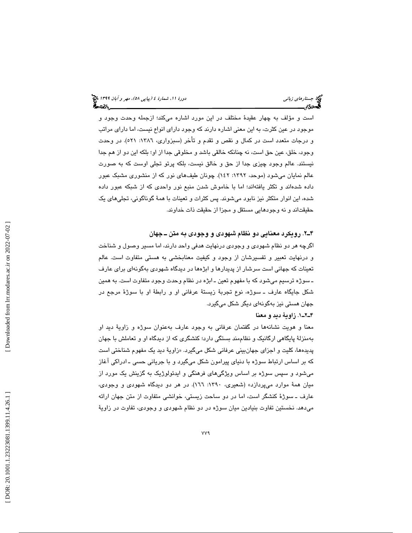است و مؤلف به چهار عقيدهٔ مختلف در اين مورد اشاره ميكند؛ ازجمله وحدت وجود و موجود در عين كثرت ، به اين معني اشاره دارند كه وجود داراي انواع نيست ، اما داراي مراتب و درجات متعدد است در كمال و نقص و تقدم و تأخر (سبزواري، :1386 521). در وحدت وجود، خلق، عين حق است، نه چنانكه خالقي باشد و مخلوقي جدا از او؛ بلكه اين دو از هم جدا نيستند. عالم وجود چيزي جدا از حق و خالق نيست ، بلكه پرتو تجلي اوست كه به صورت عالم نمایان میشود (موحد، ۱۳۹۲: ۱٤۲). چونان طیفهای نور که از منشوری مشبک عبور داده شدهاند و تكثر يافتهاند؛ اما با خاموش شدن منبع نور واحدي كه از شبكه عبور داده شده، اين انوار متكثر نيز نابود ميشوند. پس كثرات و تعينات با همهٔ گوناگوني، تجليهاي يک حقيقتاند و نه وجودهايي مستقل و مجزا از حقيقت ذات خداوند.

### 2ـ4 . رويكرد معنايي دو نظام شهودي و وجودي به متن ـ جهان

اگرچه هر دو نظام شهودي و وجودي درنهايت هدفي واحد دارند ، اما مسير وصول و شناخت و درنهايت تعبير و تفسيرشان از وجود و كيفيت معنابخشي به هستي متفاوت است. عالم تعينات كه جهاني است سرشار از پديدارها و ابژهها در ديدگاه شهودي بهگونهاي براي عارف ـ سوژه ترسيم ميشود كه با مفهوم تعين ـ ابژه در نظام وحدت وجود متفاوت است. به همين شكل جايگاه عارف ـ سوژه، نوع تجربة زيستة عرفاني او و رابطة او با سوژة مرجع در جهان هستي نيز بهگونهاي ديگر شكل ميگيرد.

#### 1ـ2ـ4 . زاوية ديد و معنا

معنا و هويت نشانهها در گفتمان عرفاني به وجود عارف بهعنوان سوژه و زاوية ديد او بهمنزلة پايگاهي ارگانيك و نظاممند بستگي دارد؛ كنشگري كه از ديدگاه او و تعاملش با جهان پديدهها، كليت و اجزا*ی* جهانبين*ی* عرفانی شكل میگیرد. «زاويهٔ ديد يک مفهوم شناختی است كه بر اساس ارتباط سوژه با دنياي پيرامون شكل ميگيرد و با جرياني حسي ـ ادراكي آغاز ميشود و سپس سوژه بر اساس ويژگيهاي فرهنگي و ايدئولوژيك به گزينش يك مورد از ميان همهٔ موارد ميپردازد» (شعيري، ١٣٩٠: ١٦٦). در هر دو ديدگاه شهودي و وجودي، عارف ـ سوژة كنشگر است ، اما در دو ساحت زيستي، خوانشي متفاوت از متن جهان ارائه ميدهد. نخستين تفاوت بنيادين ميان سوژه در دو نظام شهودي و وجودي، تفاوت در زاوية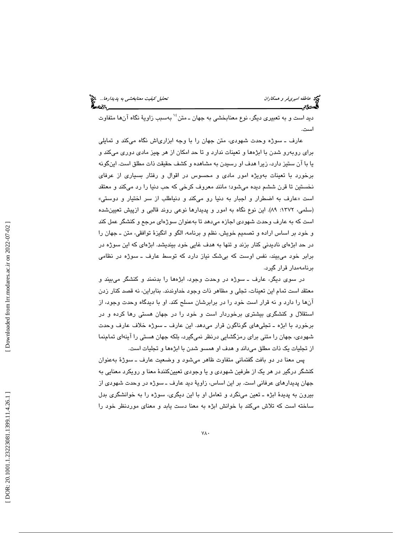ديد است و به تعبيري ديگر، نوع معنابخشي به جهان ـ متن<sup>، ۱</sup> بهسبب زاويهٔ نگاه آنها متفاوت است.

عارف ــ سوژه وحدت شهودی، متن جهان را با وجه ابزاریاش نگاه میکند و تمایلی برای روبهرو شدن با ابژهها و تعینات ندارد و تا حد امکان از هر چیز مادی دوری میکند و يا با آن ستيز دارد ، زيرا هدف او رسيدن به مشاهده و كشف حقيقت ذات مطلق است. اينگونه برخورد با تعينات بهويژه امور مادي و محسوس در اقوال و رفتار بسياري از عرفاي نخستين تا قرن ششم ديده ميشود؛ مانند معروف كرخي كه حب دنيا را رد ميكند و معتقد عارف به اضطرار و اجبار به دنيا رو ميكند و دنياطلب از سر اختيار و دوستي » است « (سلمي، ١٣٧٢: ٨٩). اين نوع نگاه به امور و پديدارها نوعي روند قالبي و ازپيش تعيينشده است كه به عارف وحدت شهودي اجازه ميدهد تا بهعنوان سوژهاي مرجع و كنشگر عمل كند و خود بر اساس اراده و تصميم خويش، نظم و برنامه، الگو و انگيزة توافقي، متن ـ جهان را در حد ابژهاي ناديدني كنار بزند و تنها به هدف غايي خود بينديشد. ابژهاي كه اين سوژه در برابر خود ميبيند، نفس اوست كه بيشك نياز دارد كه توسط عارف ـ سوژه در نظامي برنامهمدار قرار گيرد.

در سوي ديگر، عارف ـ سوژه در وحدت وجود، ابژهها را بدنمند و كنشگر ميبيند و معتقد است تمام اين تعينات، تجلي و مظاهر ذات وجود خداوندند . بنابراين ، نه قصد كنار زدن آنها را دارد و نه قرار است خود را در برابرشان مسلح كند. او با ديدگاه وحدت وجود، از استقلال و كنشگري بيشتري برخوردار است و خود را در جهان هستي رها كرده و در برخورد با ابژه ـ تجليهاي گوناگون قرار ميدهد. اين عارف ـ سوژه خلاف عارف وحدت شهودي، جهان را متني براي رمزگشايي درنظر نميگيرد، بلكه جهان هستي را آينهاي تمامنما از تجليات يك ذات مطلق ميداند و هدف او همسو شدن با ابژهها و تجليات است.

پس معنا در دو بافت گفتماني متفاوت ظاهر ميشود و وضعيت عارف ـ سوژة بهعنوان كنشگر درگير در هر يك از طرفين شهودي و يا وجودي تعيينكنندة معنا و رويكرد معنايي به جهان پديدارهاي عرفاني است. بر اين اساس، زاوية ديد عارف ـ سوژه در وحدت شهودي از بيرون به پديدة ابژه ـ تعين مينگرد و تعامل او با اين ديگري، سوژه را به خوانشگري بدل ساخته است كه تلاش ميكند با خوانش ابژه به معنا دست يابد و معناي موردنظر خود را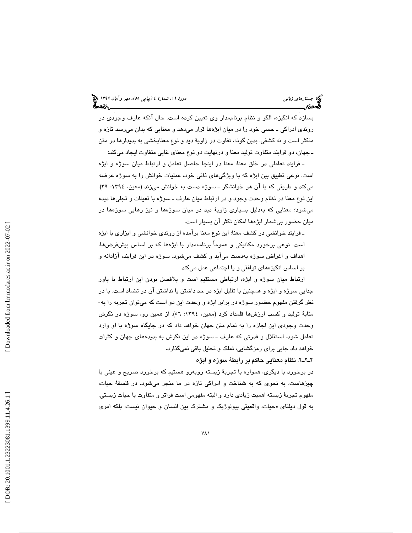بسازد كه انگيزه، الگو و نظام برناممدار وي تعيين كرده است. حال آنكه عارف وجودي در روندي ادراكي ـ حسي خود را در ميان ابژهها قرار ميدهد و معنايي كه بدان ميرسد تازه و متكثر است و نه كشفي. بدين گونه، تفاوت در زاوية ديد و نوع معنابخشي به پديدارها در متن ـ جهان، دو فرايند متفاوت توليد معنا و درنهايت دو نوع معناي غايي متفاوت ايجاد ميكند:

ـ فرايند تعاملي در خلق معنا: معنا در اينجا حاصل تعامل و ارتباط ميان سوژه و ابژه است. نوعي تطبيق بين ابژه كه با ويژگيهاي ذاتي خود، عمليات خوانش را به سوژه عرضه ميكند و طريقي كه با آن هر خوانشگر ـ سوژه دست به خوانش ميزند (معين، :1394 39). اين نوع معنا در نظام وحدت وجود و در ارتباط ميان عارف ـ سوژه با تعينات و تجليها ديده ميشود؛ معنايي كه بهدليل بسياري زاوية ديد در ميان سوژهها و نيز رهايي سوژهها در ميان حضور بيشمار ابژهها امكان تكثر آن بسيار است.

ـ فرايند خوانشي در كشف معنا: اين نوع معنا برآمده از روندي خوانشي و ابزاري با ابژه است. نوعي برخورد مكانيكي و عموماً برنامهمدار با ابژهها كه بر اساس پيشفرضها، اهداف و اغراض سوژه بهدست ميآيد و كشف ميشود. سوژه در اين فرايند، آزادانه و بر اساس انگيزههاي توافقي و يا اجتماعي عمل ميكند.

ارتباط ميان سوژه و ابژه، ارتباطي مستقيم است و بلافصل بودن اين ارتباط با باور جدايی سوژه و ابژه و همچنين با تقليل ابژه در حد داشتن يا نداشتن ان در تضاد است. با در<br>نظر گرفتن مفهوم حضور سوژه در برابر ابژه و وحدت اين دو است كه میتوان تجربه را به-مثابهٔ تولید و كسب ارزشها قلمداد كرد (معین، ١٣٩٤: ٥٦). از همین رو، سوژه در نگرش وحدت وجودي اين اجازه را به تمام متن جهان خواهد داد كه در جايگاه سوژه با او وارد تعامل شود. استقلال و قدرتي كه عارف ـ سوژه در اين نگرش به پديدههاي جهان و كثرات خواهد داد جايي براي رمزگشايي، تملك و تحليل باقي نميگذارد.

. 2ـ2ـ4 نظام معنايي حاكم بر رابطة سوژه و ابژه

در برخورد با ديگری، همواره با تجربهٔ زيسته روبەرو هستيم كه برخورد صريح و عيني با چيزهاست، به نحوي كه به شناخت و ادراكي تازه در ما منجر ميشود. در فلسفة حيات، مفهوم تجربة زيسته اهميت زيادي دارد و البته مفهومي است فراتر و متفاوت با حيات زيستي. به قول ديلتای «حيات، واقعيتي بيولوژيک و مشترک بين انسان و حيوان نيست، بلکه امر*ی*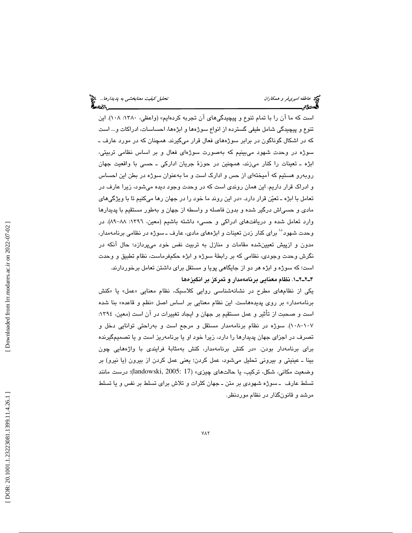است كه ما آن را با تمام تنوع و پيچيدگيهاي آن تجربه كردهايم» (واعظي، :1380 108). اين تنوع و پيچيدگي شامل طيفي گسترده از انواع سوژهها و ابژهها، احساسات، ادراكات و... است كه در اشكال گوناگون در برابر سوژههاي فعال قرار ميگيرند. همچنان كه در مورد عارف ـ سوژه در وحدت شهود ميبينيم كه بهصورت سوژهاي فعال و بر اساس نظامي تربيتي، ابژه ـ تعينات را كنار ميزند، همچنين در حوزة جريان اداركي ـ حسي با واقعيت جهان روبهرو هستيم كه اميختهاى از حس و ادارک است و ما بهعنوان سوژه در بطن اين احساس و ادراك قرار داريم. اين همان روندي است كه در وحدت وجود ديده ميشود ، زيرا عارف در تعامل با ابژه ــ تعیّن قرار دارد. «در این روند ما خود را در جهان رها میکنیم تا با ویژگیها*ی* مادي و حسياش درگير شده و بدون فاصله و واسطه از جهان و بهطور مستقيم با پديدارها وارد تعامل شده و دريافتهاي ادراكي و حسي» داشته باشيم (معين، :1396 -89 88 ). در وحدت شهود°<sup>۱</sup> برای کنار زدن تعینات و ابژههای مادی، عارف ـ سوژه در نظامی برنامهمدار، مدون و ازپيش تعيينشده مقامات و منازل به تربيت نفس خود ميپردازد؛ حال آنكه در نگرش وحدت وجودي، نظامي كه بر رابطة سوژه و ابژه حكمفرماست، نظام تطبيق و وحدت است؛ كه سوژه و ابژه هر دو از جايگاهي پويا و مستقل براي داشتن تعامل برخوردارند. 1ـ2ـ2ـ4 . نظام معنايي برنامهمدار و تمركز بر انگيزهها

یکی از نظامهای مطرح در نشانهشناسی روایی کلاسیک، نظام معنایی «عمل» یا «کنش برنامهمدار» بر روی پدیدههاست. این نظام معنایی بر اساس اصل «نظم و قاعده» بنا شده است و صحبت از تأثير و عمل مستقيم بر جهان و ايجاد تغييرات در آن است (معين، :1394 ۱۰۸–۱۰۸). سوژه در نظام برنامهمدار مستقل و مرجع است و بهراحتی توانایی دخل و تصرف در اجزاي جهان پديدارها را دارد ، زيرا خود او يا برنامهريز است و يا تصميمگيرنده برای برنامهدار بودن. «در كنش برنامهمدار، كنش بهمثابهٔ فرایندی با واژههایی چون بينا ـ عينيتي و بيروني تحليل ميشود، عمل كردن؛ يعني عمل كردن از بيرون (يا نيرو) بر وضعيت مكاني، شكل، تركيب، يا حالت@اي چيزي» (landowski, 2005: 17)؛ درست مانند تسلط عارف ـ سوژه شهودي بر متن ـ جهان كثرات و تلاش براي تسلط بر نفس و يا تسلط مرشد و قانونگذار در نظام موردنظر.

 [\[ DOR: 20.1001.1.23223081.1399.11.4.26](https://dorl.net/dor/20.1001.1.23223081.1399.11.4.26.1).1 ] [\[ Downloaded from lrr.modares.ac.ir on 20](https://lrr.modares.ac.ir/article-14-43002-fa.html)22-07-02 ] Downloaded from lrr.modares.ac.ir on 2022-07-02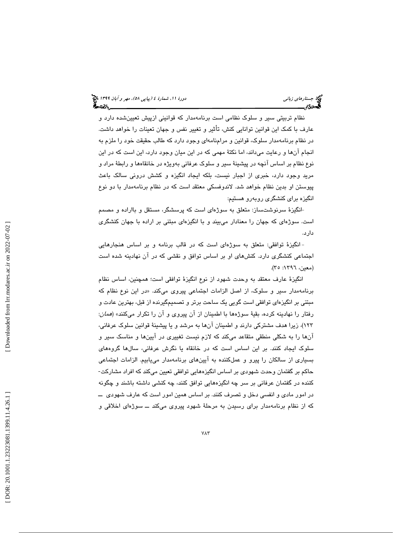نظام تربيتي سير و سلوك نظامي است برنامهمدار كه قوانيني ازپيش تعيينشده دارد و عارف با كمك اين قوانين توانايي كنش، تأثير و تغيير نفس و جهان تعينات را خواهد داشت. در نظام برنامهمدار سلوك، قوانين و مرامنامهاي وجود دارد كه طالب حقيقت خود را ملزم به انجام آنها و رعايت مي،اند، اما نكتهٔ مهمي كه در اين ميان وجود دارد، اين است كه در اين نوع نظام بر اساس آنچه در پيشينة سير و سلوك عرفاني بهويژه در خانقاهها و رابطة مراد و مريد وجود دارد، خبري از اجبار نيست ، بلكه ايجاد انگيزه و كشش دروني سالك باعث پيوستن او بدين نظام خواهد شد. لاندوفسكي معتقد است كه در نظام برنامهمدار با دو نوع انگیزه برای کنشگری روبهرو هستیم:

-انگيزهٔ سرنوشتساز: متعلق به سوژهای است كه پرسشگر، مستقل و بااراده و مصمم است. سوژهای که جهان را معنادار میبیند و با انگیزهای مبتنی بر اراده با جهان کنشگری دارد.

-انگيزهٔ توافقي: متعلق به سوژهای است كه در قالب برنامه و بر اساس هنجارهايي اجتماعي كنشگري دارد. كنشهاي او بر اساس توافق و نقشي كه در آن نهادينه شده است (معين، ١٣٩٦: ٣٥).

انگيزة عارف معتقد به وحدت شهود از نوع انگيزة توافقي است؛ همچنين ، اساس نظام در اين نوع نظام كه برنامهمدار سير و سلوك، از اصل الزامات اجتماعي پيروي ميكند. « مبتني بر انگيزهاي توافقي است گويي يك ساحت برتر و تصميمگيرنده از قبل، بهترين عادت و رفتار را نهادينه كرده، بقيهٔ سوژهها با اطمينان از آن پيروي و آن را تكرار ميكنند» (*همان*: 123 ،) زيرا هدف مشتركي دارند و اطمينان آنها به مرشد و يا پيشينة قوانين سلوك عرفاني، آنها را به شكلي منطقي متقاعد ميكند كه لازم نيست تغييري در آيينها و مناسك سير و سلوك ايجاد كنند. بر اين اساس است كه در خانقاه يا نگرش عرفاني، سالها گروههاي بسیاری از سالکان را پیرو و عملکننده به آیینهای برنامهمدار مییابیم. الزامات اجتماعی<br>حاکم بر گفتمان وحدت شهودی بر اساس انگیزههایی توافقی تعیین میکند که افراد مشارکت-كننده در گفتمان عرفاني بر سر چه انگيزههايي توافق كنند، چه كنشي داشته باشند و چگونه در امور مادي و انفسي دخل و تصرف كنند. بر اساس همين امور است كه عارف شهودي ــ كه از نظام برنامهمدار براي رسيدن به مرحلة شهود پيروي ميكند ــ سوژهاي اخلاقي و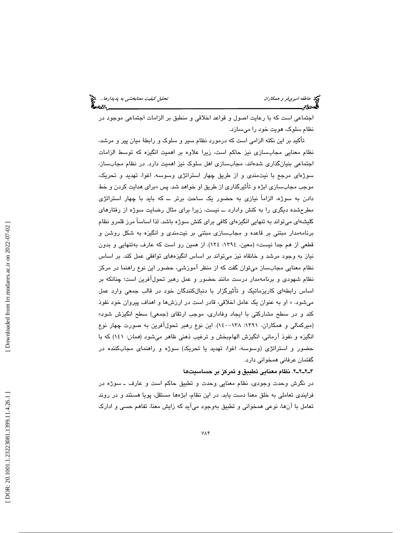اجتماعي است كه با رعايت اصول و قواعد اخلاقي و منطبق بر الزامات اجتماعي موجود در نظام سلوك، هويت خود را ميسازد.

تأكيد بر اين نكته الزامي است كه درمورد نظام سير و سلوك و رابطة ميان پير و مرشد، نظام معنايي مجابسازي نيز حاكم است ، زيرا علاوه بر اهميت انگيزه كه توسط الزامات اجتماعي بنيانگذاري شدهاند، مجابسازي اهل سلوك نيز اهميت دارد. در نظام مجابساز، سوژهاي مرجع با نيتمندي و از طريق چهار استراتژي وسوسه، اغوا، تهديد و تحريك، موجب مجابسـازی ابژه و تأثیرگذاری از طریق او خواهد شد. پس «برای هدایت کردن و خط دادن به سوژه، الزاماً نيازي به حضور يك ساحت برتر ــ كه بايد با چهار استراتژي مطرحشده ديگري را به كنش وادارد ــ نيست، زيرا براي مثال رضايت سوژه از رفتارهاي كليشهاي ميتواند به تنهايي انگيزهاي كافي براي كنش سوژه باشد. لذا اساساً مرز قلمرو نظام برنامهمدار مبتني بر قاعده و مجابسازي مبتني بر نيتمندي و انگيزه به شكل روشن و قطعي از هم جدا نيست» (معين، :1394 124). از همين رو است كه عارف بهتنهايي و بدون نياز به وجود مرشد و خانقاه نيز ميتواند بر اساس انگيزههاي توافقي عمل كند. بر اساس نظام معنايي مجابساز ميتوان گفت كه از منظر آموزشي، حضور اين نوع راهنما در مركز نظام شهودي و برنامهمدار درست مانند حضور و عمل رهبر تحولآفرين است؛ چنانكه بر اساس رابطهای کاریزماتیک و تأثیرگزار با دنبالکنندگان خود در قالب جمعی وارد عمل ميشود. « او به عنوان يك عامل اخلاقي، قادر است در ارزشها و اهداف پيروان خود نفوذ كند و در سطح مشاركتي با ايجاد وفاداري، موجب ارتقاي (جمعي) سطح انگيزش شود » (ميركمالي و همكاران، :1391 -138 140). اين نوع رهبر تحولآفرين به صورت چهار نوع انگيزه و نفوذ آرماني، انگيزش الهامبخش و ترغيب ذهني ظاهر ميشود (همان : 141) كه با حضور و استراتژي (وسوسه، اغوا، تهديد يا تحريك) سوژه و راهنماي مجابكننده در گفتمان عرفاني همخواني دارد.

2ـ2ـ2ـ4 . نظام معنايي تطبيق و تمركز بر حساسيتها

در نگرش وحدت وجودي، نظام معنايي وحدت و تطبيق حاكم است و عارف ـ سوژه در فرايندي تعاملي به خلق معنا دست يابد. در اين نظام، ابژهها مستقل، پويا هستند و در روند تعامل با آنها، نوعي همخواني و تطبيق بهوجود ميآيد كه زايش معنا، تفاهم حسي و ادارك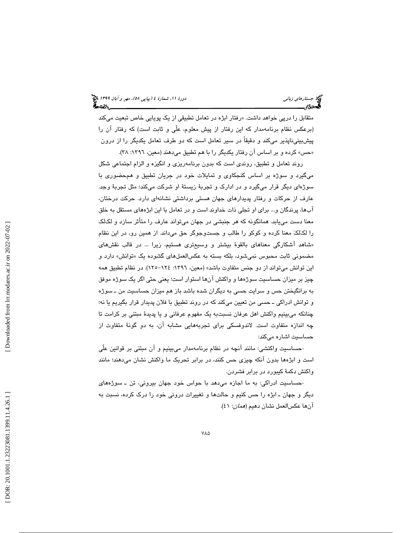متقابل را درپی خواهد داشت. «رفتار ابژه در تعامل تطبيقی از يک پويايی خاص تبعيت میکند (برعكس نظام برنامهمدار كه اين رفتار از پيش معلوم، علّي و ثابت است) كه رفتار آن را پيشبينيناپذير ميكند و دقيقاً در سير تعامل است كه دو طرف تعامل يكديگر را از درون «حس» کرده و بر اساس ان رفتار یکدیگر را با هم تطبیق میدهند (معین، ۱۳۹۲: ۲۸).

روند تعامل و تطبيق، روندي است كه بدون برنامهريزي و انگيزه و الزام اجتماعي شكل ميگيرد و سوژه بر اساس كنجكاوي و تمايلات خود در جريان تطبيق و همحضوري با سوژهاي ديگر قرار ميگيرد و در ادارك و تجربة زيستة او شركت ميكند؛ مثل تجربة وجد. عارف از حركات و رفتار پديدارهاي جهان هستي برداشتي نشانهاي دارد. حركت درختان، آبها، پرندگان و... براي او تجلي ذات خداوند است و در تعامل با اين ابژههاي مستقل به خلق معنا دست مييابد. همانگونه كه هر جنبشي در جهان ميتواند عارف را متأثر سازد و لكلك را لکالکَ معنا کرده و کوکو را طالب و جستوجوگر حق میداند. از همین رو، در این نظام «شاهد اشكارگی معناهای بالقوهٔ بیشتر و وسیعتری هستیم، زیرا … در قالب نقشهای مضمونی ثابت محبوس نمیشود، بلکه بسته به عکسالعملهای گشوده یک «توانش» دارد و اين توانش ميتواند از دو جنس متفاوت باشد» (معين، :1396 -124 125). در نظام تطبيق همه چيز بر ميزان حساسيت سوژهها و واكنش آنها استوار است؛ يعني حتي اگر يك سوژه موفق به برانگيختن حس و سرايت حسي به ديگران شده باشد باز هم ميزان حساسيت من ـ سوژه و توانش ادراكي ـ حسي من تعيين ميكند كه در روند تطبيق با فلان پديدار قرار بگيريم يا نه؛ چنانكه ميبينيم واكنش اهل عرفان نسبتبه يك مفهوم عرفاني و يا پديدة مبتني بر كرامت تا چه اندازه متفاوت است. لاندوفسكي براي تجربههايي مشابه آن، به دو گونة متفاوت از حساسيت اشاره ميكند:

حساسيت واكنشي: مانند آنچه در نظام برنامهمدار ميبينيم و آن مبتني بر قوانين علّي - است و ابژهها بدون آنكه چيزي حس كنند، در برابر تحريك ما واكنش نشان ميدهند؛ مانند واكنش دكمهٔ كيبورد در برابر فشردن.

حساسيت ادراكي: به ما اجازه ميدهد با حواس خود جهان بيروني، تن ـ سوژههاي - ديگر و جهان ـ ابژه را حس كنيم و حالتها و تغييرات دروني خود را درك كرده، نسبت به آنها عكسالعمل نشان دهيم (*همان*: ٤١).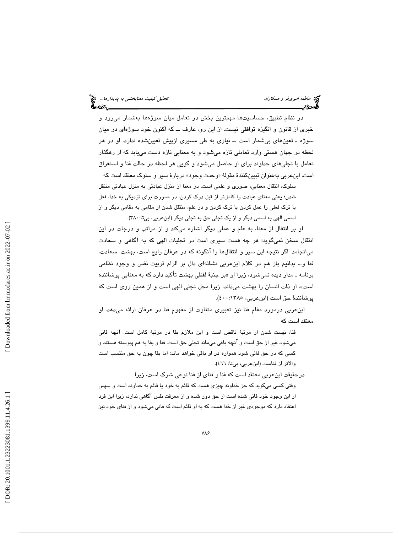در نظام تطبيق، حساسيتها مهمترين بخش در تعامل ميان سوژهها بهشمار ميرود و خبري از قانون و انگيزه توافقي نيست. از اين رو، عارف ــ كه اكنون خود سوژهاي در ميان سوژه ـ تعينهاي بيشمار است ــ نيازي به طي مسيري ازپيش تعيينشده ندارد. او در هر لحظه در جهان هستي وارد تعاملي تازه ميشود و به معنايي تازه دست مييابد كه از رهگذار تعامل با تجليهاي خداوند براي او حاصل ميشود و گويي هر لحظه در حالت فنا و استغراق است. ابنعربی بهعنوان تبیینکنندهٔ مقولهٔ «وحدت وجود» دربارهٔ سیر و سلوک معتقد است که

سلوك، انتقال معنايي، صوري و علمي است. در معنا از منزل عبادتي به منزل عبادتي منتقل شدن؛ يعني معناي عبادت را كاملتر از قبل درك كردن. در صورت براي نزديكي به خدا، فعل يا ترك فعلي را عمل كردن يا ترك كردن و در علم، منتقل شدن از مقامي به مقامي ديگر و از اسمي الهي به اسمي ديگر و از يک تجلي حق به تجلي ديگر (ابنعربي، بيتا: ٣٨٠).

او بر انتقال از معنا، به علم و عملي ديگر اشاره ميكند و از مراتب و درجات در اين انتقال سخن نميگويد؛ هر چه هست سيري است در تجليات الهي كه به آگاهي و سعادت ميانجامد. اگر نتيجه اين سير و انتقالها را آنگونه كه در عرفان رايج است، بهشت، سعادت، فنا و... بدانيم باز هم در كلام ابنعربي نشانهاي دال بر الزام تربيت نفس و وجود نظامي برنامه ــ مدار دیده نمیشود، زیرا او «بر جنبهٔ لفظی بهشت تاکید دارد که به معنایی پوشاننده است». او ذات انسان را بهشت ميداند، زيرا محل تجلي الهي است و از همين روي است كه پوشانندة حق است (ابنعربي، 400:1385 ).

ابنعربي درمورد مقام فنا نيز تعبيري متفاوت از مفهوم فنا در عرفان ارائه ميدهد. او معتقد است كه

فنا، نيست شدن از مرتبة ناقص است و اين ملازم بقا در مرتبة كامل است. آنچه فاني ميشود غير از حق است و آنچه باقي ميماند تجلي حق است. فنا و بقا به هم پيوسته هستند و كسي كه در حق فاني شود همواره در او باقي خواهد ماند؛ اما بقا چون به حق منتسب است والاتر از فناست (ابنعربي، بيتا: 466 ).

درحقيقت ابنعربي معتقد است كه فنا و فناي از فنا نوعي شرك است ، زيرا

قتي كسي ميگويد كه جز خداوند چيزي هست كه قائم به خود يا قائم به خداوند است و سپس و از اين وجود خود فاني شده است از حق دور شده و از معرفت نفس آگاهي ندارد ، زيرا اين فرد اعتقاد دارد كه موجودي غير از خدا هست كه به او قائم است كه فاني ميشود و از فناي خود نيز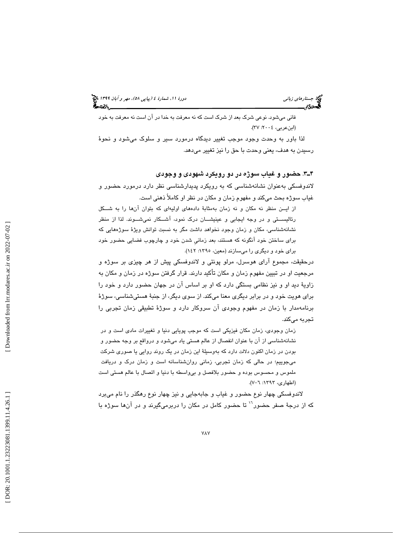# (پياپي 58)، مهر و آبان 1399 جستارهاي زباني دورة ،11 شمارة 4

فاني ميشود. نوعي شرك بعد از شرك است كه نه معرفت به خدا در آن است نه معرفت به خود (ابنعربي، ٢٠٠٤: ٣٧).

لذا باور به وحدت وجود موجب تغيير ديدگاه درمورد سير و سلوك ميشود و نحو ة رسيدن به هدف ، يعني وحدت با حق را نيز تغيير ميدهد.

#### . 3ـ4 حضور و غياب سوژه در دو رويكرد شهودي و وجودي

لاندوفسكي بهعنوان نشانهشناسي كه به رويكرد پديدارشناسي نظر دارد درمورد حضور و غياب سوژه بحث ميكند و مفهوم زمان و مكان در نظر او كاملاً ذهني است.

از ايـن منظر نه مكان و نه زمان به مثابة دادههاي اوليهاي كه بتوان آنها را به شــكل رئاليســتي و در وجه ايجابي و عينيشــان درك نمود، آشــكار نميشــوند. لذا از منظر نشانهشناسي، مكان و زمان وجود نخواهد داشت مگر به نسبت توانش ويژ ة سوژههايي كه براي ساختن خود آنگونه كه هستند، بعد زمانيِ شدن خود و چارچوب فضايي حضور خود برای خود و ديگري را ميسازند (معين، ١٣٩٥: ١٤٢).

درحقيقت ، مجموع آراي هوسرل، مرلو پونتي و لاندوفسكي پيش از هر چيزي بر سوژه و مرجعيت او در تبيين مفهوم زمان و مكان تأكيد دارند. قرار گرفتن سوژه در زمان و مكان به زاوية ديد او و نيز نظامي بستگي دارد كه او بر اساس آن در جهان حضور دارد و خود را براي هويت خود و در برابر ديگري معنا ميكند. از سوي ديگر، از جنبة هستيشناسي، سوژة برنامهمدار با زمان در مفهوم وجودی ان سروکار دارد و سوژهٔ تطبیقی زمان تجربی را تجربه ميكند.

زمان وجودی، زمان مکان فیزیکی است که موجب پویایی دنیا و تغییرات مادی است و در نشانهشناسی از ان با عنوان انفصال از عالم هستی یاد میشود و درواقع بر وجه حضور و بودن در زمان اكنون دلالت دارد كه بەوسىيلهٔ اين زمان در يک روند روايي يا صورى شركت ميجوييم؛ در حالي كه زمان تجربي، زماني روانشناسانه است و زمان درک و دريافت ملموس و محسوس بوده و حضور بلافصل و بیواسطه با دنیا و اتصال با عالم هستی است (اطهاری، ۱۳۹۳: ۷–۷).

لاندوفسكي چهار نوع حضور و غياب و جابهجايي و نيز چهار نوع رهگذر را نام ميبرد كه از درجهٔ صفر حضور<sup>\۱</sup> تا حضور كامل در مكان را دربرميگيرند و در آنها سوژه با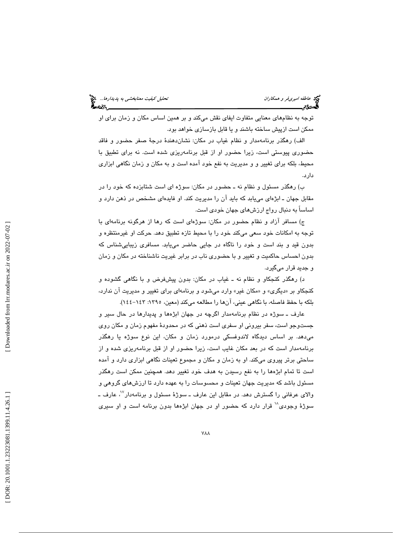توجه به نظامهاي معنايي متفاوت ايفاي نقش ميكند و بر همين اساس مكان و زمان براي او ممكن است ازپيش ساخته باشند و يا قابل بازسازي خواهد بود.

الف) رهگذر برنامهمدار و نظام غياب در مكان: نشاندهندة درج ة صفر حضور و فاقد حضوري پيوستي است ، زيرا حضور او از قبل برنامهريزي شده است. نه براي تطبيق با محيط، بلكه براي تغيير و و مديريت به نفع خود آمده است و به مكان و زمان نگاهي ابزاري دارد.

ب) رهگذر مسئول و نظام نه ـ حضور در مكان: سوژه ا ي است شتابزده كه خود را در مقابل جهان ــ ابژهای مییابد که باید ان را مدیریت کند. او فایدهای مشخص در ذهن دارد و اساساً به دنبال رواج ارزش های جهان خودی است.

ج) مسافر ازاد و نظام حضور در مكان: سوژهای است كه رها از هرگونه برنامهای با توجه به امكانات خود سعى مىكند خود را با محيط تازه تطبيق دهد. حركت او غيرمنتظره و بدون قيد و بند است و خود را ناگاه در جايی حاضر میLبابد. مسافری زیباییشناس که بدون احساس حاكميت و تغيير و با حضوري ناب در برابر غيريت ناشناخته در مكان و زمان و جديد قرار ميگيرد.

د) رهگذر كنجكاو و نظام نه ـ غياب در مكان: بدون پيشفرض و با نگاهي گشوده و كنجكاو بر «ديگرى» و «مكان غير» وارد مىشود و برنامهاى براى تغيير و مديريت ان ندارد، بلکه با حفظ فاصله، با نگاهی عینی، انها را مطالعه میکند (معین، ١٣٩٥: ١٤٢–١٤٤).

عارف ـ سوژه در نظام برنامهمدار اگرچه در جهان ابژهها و پديدارها در حال سير و جستوجو است، سفر بيروني او سفر*ى* است ذهني كه در محدودۀ مفهوم زمان و مكان رو*ى* میدهد. بر اساس دیدگاه لاندوفسکی درمورد زمان و مکان، این نوع سوژه یا رهگذر برنامهمدار است كه در بعد مكان غايب است ، زيرا حضور او از قبل برنامهريزي شده و از ساحتي برتر پيروي ميكند. او به زمان و مكان و مجموع تعينات نگاهي ابزاري دارد و آمده است تا تمام ابژهها را به نفع رسيدن به هدف خود تغيير دهد. همچنين ممكن است رهگذر مسئول باشد كه مديريت جهان تعينات و محسوسات را به عهده دارد تا ارزشهاي گروهي و والای عرفانی را گسترش دهد. در مقابل این عارف ــ سوژهٔ مسئول و برنامهدار<sup>۷</sup>٬ عارف ــ سوژهٔ وجودی $^{\backprime\prime}$  قرار دارد كه حضور او در جهان ابژهها بدون برنامه است و او سیری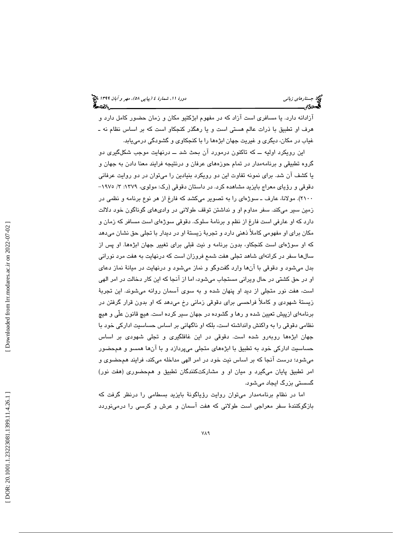آزادانه دارد. يا مسافري است آزاد كه در مفهوم ابژكتيو مكان و زمان حضور كامل دارد و هرف او تطبيق با ذرات عالم هستي است و يا رهگذر كنجكاو است كه بر اساس نظام ـ نه غياب در مكان، ديگري و غيريت جهان ابژهها را با كنجكاوي و گشودگي درمييابد.

اين رويكرد اوليه ــ كه تاكنون درمورد آن بحث شد ــ درنهايت موجب شكلگيري دو گروه تطبيقي و برنامهمدار در تمام حوزههاي عرفان و درنتيجه فرايند معنا دادن به جهان و یا کشف آن شد. برای نمونه تفاوت این دو رویکرد بنیادین را میتوان در دو روایت عرفانی<br>دقوقی و رؤیای معراج بایزید مشاهده کرد. در داستان دقوقی (رک: مولوی، ۱۳۷۹/ ۱۹۷۰– 2100). مولانا، عارف ـ سوژهاي را به تصوير ميكشد كه فارغ از هر نوع برنامه و نظمي در زمين سير ميكند. سفر مداوم او و نداشتن توقف طولاني در واديهاي گوناگون خود دلالت دارد كه او عارفی است فارغ از نظم و برنامهٔ سلوک. دقوقی سوژهای است مسافر كه زمان و مكان براي او مفهومي كاملاً ذهني دارد و تجربة زيستة او در ديدار با تجلي حق نشان ميدهد كه او سوژهاي است كنجكاو، بدون برنامه و نيت قبلي براي تغيير جهان ابژهها. او پس از سالها سفر در كرانهاي شاهد تجلي هفت شمع فروزان است كه درنهايت به هفت مرد نوراني بدل ميشود و دقوقي با انها وارد گفتوگو و نماز ميشود و درنهايت در ميانهٔ نماز دعاي او در حق كشتي در حال ويراني مستجاب ميشود ، اما از آنجا كه اين كار دخالت در امر الهي است، هفت نور متجلي از ديد او پنهان شده و به سوي آسمان روانه ميشوند. اين تجربة زيستة شهودي و كاملاً فراحسي براي دقوقي زماني رخ ميدهد كه او بدون قرار گرفتن در برنامهاي ازپيش تعيين شده و رها و گشوده در جهان سير كرده است. هيچ قانون علّي و هيچ نظامي دقوقي را به واكنش وانداشته است ، بلكه او ناگهاني بر اساس حساسيت اداركي خود با جهان ابژهها روبەرو شده است. دقوقی در این غافلگیری و تجلی شهودی بر اساس حساسيت اداركي خود به تطبيق با ابژههاي متجلي ميپردازد و با آن ها همسو و همحضور ميشود؛ درست آنجا كه بر اساس نيت خود در امر الهي مداخله ميكند، فرايند همحضوي و امر تطبيق پايان ميگيرد و ميان او و مشاركتكنندگان تطبيق و همحضوري (هفت نور) گسستي بزرگ ايجاد ميشود.

اما در نظام برنامهمدار مىټوان روايت رؤياگونۀ بايزيد بسطامى را درنظر گرفت كه بازگوكنندة سفر معراجي است طولاني كه هفت آسمان و عرش و كرسي را درمينوردد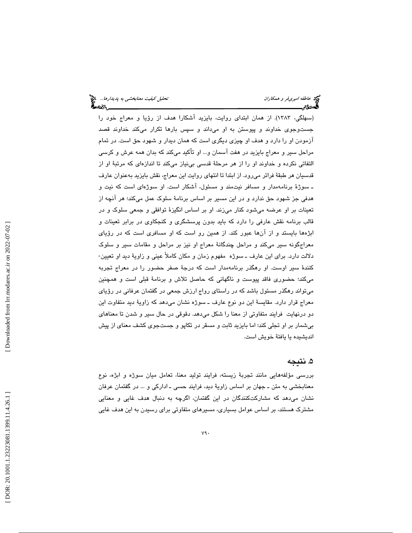سهلگي، 1383). از همان ابتداي روايت، بايزيد آشكارا هدف از رؤيا و معراج خود را ) جستوجوی خداوند و پیوستن به او میداند و سپس بارها تکرار میکند خداوند قصد آزمودن او را دارد و هدف او چيزي ديگري است كه همان ديدار و شهود حق است. در تمام مراحل سير و معراج بايزيد در هفت اسمان و... او تاكيد مىكند كه بدان همه عرش و كرسى التفاتي نكرده و خداوند او را از هر مرحلة قدسي بينياز ميكند تا اندازهاي كه مرتبة او از قدسيان هر طبقة فراتر ميرود. از ابتدا تا انتهاي روايت اين معراج، نقش بايزيد بهعنوان عارف ـ سوژة برنامهمدار و مسافر نيتمند و مسئول، آشكار است. او سوژهاي است كه نيت و هدفي جز شهود حق ندارد و در اين مسير بر اساس برنامة سلوك عمل ميكند؛ هر آنچه از تعينات بر او عرضه ميشود كنار ميزند. او بر اساس انگيزة توافقي و جمعي سلوك و در قالب برنامه نقش عارفي را دارد كه بايد بدون پرسشگري و كنجكاوي در برابر تعينات و ابژهها بايستد و از آنها عبور كند. از همين رو است كه او مسافري است كه در رؤياي معراجگونه سبير مىكند و مراحل چندگانهٔ معراج او نيز بر مراحل و مقامات سبير و سلوک<br>دلالت دارد. براي اين عارف ــ سوژه مفهوم زمان و مكان كاملاً عيني و زاويهٔ ديد او تعيين-كنندة سير اوست. او رهگذر برنامهمدار است كه درجة صفر حضور را در معراج تجربه ميكند؛ حضوري فاقد پيوست و ناگهاني كه حاصل تلاش و برنامة قبلي است و همچنين ميتواند رهگذر مسئول باشد كه در راستاي رواج ارزش جمعي در گفتمان عرفاني در رؤياي معراج قرار دارد. مقايسهٔ اين دو نوع عارف ــ سوژه نشان ميدهد كه زاويهٔ ديد متفاوت اين دو درنهايت فرايند متفاوتي از معنا را شكل ميدهد. دقوقي در حال سير و شدن تا معناهاي بيشمار بر او تجلي كند؛ اما بايزيد ثابت و مسقر در تكاپو و جستجوي كشف معناي از پيش انديشيده يا يافتة خويش است.

## . نتيجه 5

بررسي مؤلفههايي مانند تجربة زيسته، فرايند توليد معنا، تعامل ميان سوژه و ابژه، نوع معنابخشي به متن ـ جهان بر اساس زاوية ديد، فرايند حسي ـ اداركي و ... در گفتمان عرفان نشان ميدهد كه مشاركتكنندگان در اين گفتمان، اگرچه به دنبال هدف غايي و معنايي مشترك هستند، بر اساس عوامل بسياري، مسيرهاي متفاوتي براي رسيدن به اين هدف غايي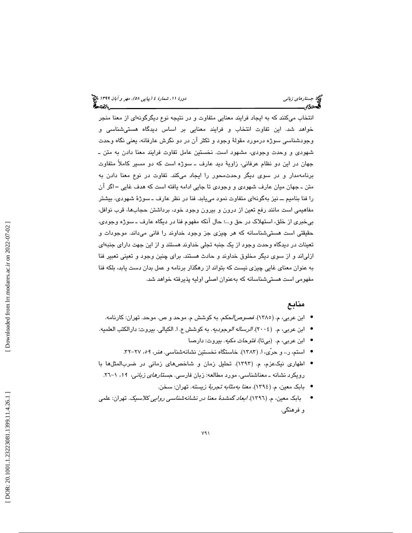انتخاب ميكنند كه به ايجاد فرايند معنايي متفاوت و در نتيجه نوع ديگرگونهاي از معنا منجر خواهد شد. اين تفاوت انتخاب و فرايند معنايي بر اساس ديدگاه هستيشناسي و وجودشناسي سوژه درمورد مقولة وجود و تكثر آن در دو نگرش عارفانه ، يعني نگاه وحدت شهودي و وحدت وجودي، مشهود است. نخستين عامل تفاوت فرايند معنا دادن به متن ـ جهان در اين دو نظام عرفاني، زاوية ديد عارف ـ سوژه است كه دو مسير كاملاً متفاوت برنامهمدار و در سوي ديگر وحدتمحور را ايجاد ميكند. تفاوت در نوع معنا دادن به متن ـ جهان ميان عارف شهودي و وجودي تا جايي ادامه يافته است كه هدف غايي ــ اگر آن را فنا بناميم ــ نيز بهگونهاي متفاوت نمود مييابد. فنا در نظر عارف ـ سوژ ة شهودي، بيشتر مفاهيمي است مانند رفع تعين از درون و بيرون وجود خود، برداشتن حجابها، قرب نوافل، بيخبري از خلق، استهلاك در حق و...؛ حال آنكه مفهوم فنا در ديگاه عارف ـ سوژه وجودي، حقيقتي است هستيشناسانه كه هر چيزي جز وجود خداوند را فاني ميداند. موجودات و تعينات در ديدگاه وحدت وجود از يك جنبه تجلي خداوند هستند و از اين جهت داراي جنبهاي ازلياند و از سوي ديگر مخلوق خداوند و حادث هستند. براي چنين وجود و تعيني تعبير فنا به عنوان معناي غايي چيزي نيست كه بتواند از رهگذار برنامه و عمل بدان دست يابد ، بلكه فنا مفهومي است هستيشناسانه كه بهعنوان اصلي اوليه پذيرفته خواهد شد.

## منابع

- ابن عربی، م. (١٣٨٥). *فصوص/لحکم*. به کوشش م. موحد و ص. موحد. تهران: کارنامه.
- ابن عربي، م. (٢٠٠٤)*. الرساله الوجوديه*. به كوشش ع. ا. الكيالي. بيروت: دارالكتب العلميه.
	- ابن عربي، م. (بيتا). فتوحات مكيه. بيروت: دارصا •
	- استم، ر.، و حرّى، ا. (١٣٨٣). خاستگاه نخستين نشانهشناسي. *هنر، ٥٩،* ٢٧-٣٢.
- اطهاري نيكعزم، م. (1393). تحليل زمان و شاخصهاي زماني در ضربالمثلها با رویکرد نشانه ـ معناشناسی، مورد مطالعه: زبان فارسی. ج*ستارهای زبانی،* ۱۹، ۱–۲۲.
	- بابک معین، م. (١٣٩٤). *معنا بهمثابه تجربهٔ زیسته*. تهران: سخن.
- بابک معین، م. (١٣٩٦). *ابعاد گمشدهٔ معنا در نشانهشناسي روايي كلاسيک*. تهران: علمي • و فرهنگی.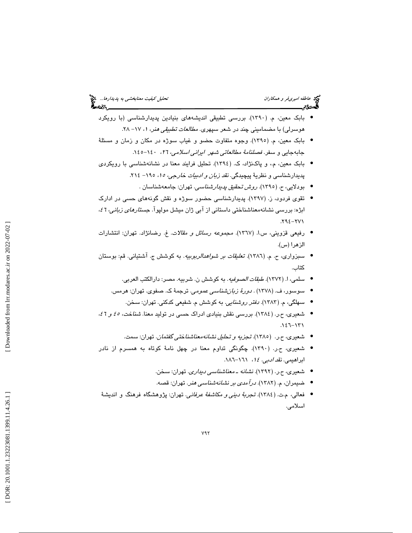- بابك معين، ( م. 1390). بررسي تطبيقي انديشههاي بنيادين پديدارشناسي (با رويكرد هوسرلی) با مضمامینی چند در شعر سپهری. *مطالعات تطبیقی هنر*، ۱، ۱۷– ۲۸.
- بابك معين، ( م. 1395). وجوه متفاوت حضو و غياب سوژه در مكان و زمان و مسئلة جابهجايي و سفر. *فصلنامهٔ مطالعاتي شهر ايراني اسلامي، ٢٦،* ١٤٠-١٤٥.
- بابک معین، م.، و پاکنژاد، ک. (١٣٩٤). تحلیل فرایند معنا در نشانهشناسی با رویکردی
	- پدیدارشناسی و نظریهٔ پیچیدگی. *نقد زبان و ادبیات خارجی، ۱۵*، ۱۹۰– ۲۱۶.<br>● بودلایی، ح. (۱۳۹۰)*. روش ت*حقی*ق پدیدارشناسی*. تهران: جامعهشناسان .
- تقوي فردود، ز. (1397). پديدارشناسي حضور سوژه و نقش گونههاي حسي در ادارك ابژه: بررسی نشانهمعناشناختی داستانی از آبی ژان میشل مولپوآ. ج*ستارهای زبانی، 1 ٤،*<br>۲۷۱–۲۹٤.
- رفيعي قزويني، س.ا. (١٣٦٧). *مجموعه رسائل و مقالات*. غ. رضانژاد. تهران: انتشارات الزهرا (س).
- سبزواري، ح. م. ( 1386). تعليقات بر شواهدالربوبيه. به كوشش ج. آشتياني. قم: بوستان كتاب.
	- سلمي، ا. (١٣٧٢). *طبقات الصوفيه*. به كوشش ن. شربيه. مصر: دارالكتب العربي.
	- سوسور، ف. (۱۳۷۸) *. دورهٔ زبانشناسی عمومی*. ترجمهٔ ک. صفوی. تهران: هرمس.
		- سهلگی، م. (۱۳۸۳). *دفتر روشنایی*. به کوشش م. شفیعی کدکنی. تهران: سخن.
- شعيري، ح.ر. (١٣٨٤). بررسي نقش بنيادي ادراك حسي در توليد معنا. *شناخت، ٤٥ و ٤٦،* .146 -131
	- شعیری، ح.ر. (۱۳۸۰). تجز*یه و تحلیل نشانهمعناشناختی گفتمان*. تهران: سمت.
- شعيري، ح.ر. (١٣٩٠). چگونگي تداوم معنا در چهل نامهٔ كوتاه به همسرم از نادر ابراهيمي. *نقد ادبي. ١٤،* ١٦١–١٨٦.
	- شعیری، ح.ر. (۱۳۹۲). *نشانه ـ معناشناسی دیداری.* تهران: سخن.
	- ضیمران، م. (۱۳۸۲). *درآمدی بر نشانهشناسی ه*نر. تهران: قصه.
- فعالی، م.ت. (١٣٨٤). تـجر*بةُ دينـي و مكاشفةُ عرفانـي*. تهران: پژوهشگاه فرهنگ و انديشةُ اسلامي.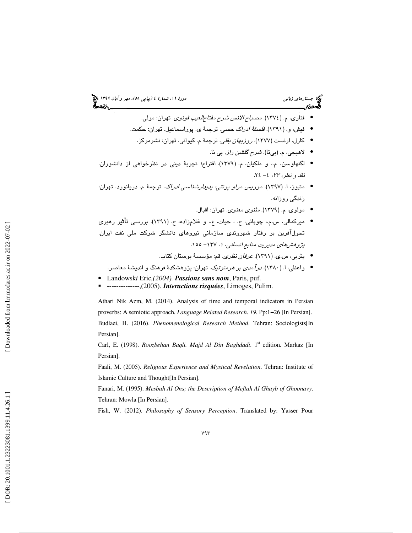- فناري، م. (١٣٧٤). مص*باح الانس شرح مفتاحالعيب قونوي*. تهران: مولي.
- فیش، و. (۱۳۹۱). *فلسفهٔ ادراک حسی.* ترجمهٔ ی. پوراسماعیل. تهران: حکمت.
	- كارل، ارنست (1377). روزبهان بقلي. ترجمة م. كيواني. تهران: نشرمركز.
		- لاهيجي، م. (بيتا). شرح گلشن راز. بي نا. •
- لگنهاوسن، م.، و ملكيان، م. (١٣٧٩). اقتراح؛ تجربهٔ ديني در نظرخواهي از دانشوران. نقد و نظر، ٢٣، ٤- ٢٤.
- متيوز، ا. (١٣٩٧). *موريس مرلو پونتي: پديدارشناسي ادرا*ک. ترجمهٔ م. دريانورد. تهران: زندگي روزانه.
	- مولوی، م. (١٣٧٩). *مثنوی معنوی.* تهران: اقبال.
- میرکمالی، س.م.، چوپانی، ح. ، حیات، ع.، و غلامزاده، ح. (۱۳۹۱). بررسی تأثیر رهبری تحولآفرين بر رفتار شهروندي سازماني نيروهاي دانشگر شركت ملي نفت ايران. پژوهشهای مدیریت منابع انسانی، ۱، ۱۳۷– ۱۵۵.
	- يثرب*ي، س.ي. (١*٣٩١)*. عرفان نظری.* قم: مؤسسة بوستان كتاب.
	- واعظی، ا. (۱۳۸۰). *درآمدی بر هرمنوتیک*. تهران: پژوهشکدهٔ فرهنگ و اندیشهٔ معاصر.
- Landowsk*i* Eric*,(2004). Passions sans nom*, Paris, puf. --------------,(2005). *Interactions risquées*, Limoges, Pulim.
- 

Athari Nik Azm, M. (2014). Analysis of time and temporal indicators in Persian proverbs: A semiotic approach*. Language Related Research*. *19*. Pp:1−26 [In Persian]. Budlaei, H. (2016). *Phenomenological Research Method*. Tehran: Sociologists[In Persian].

Carl, E. (1998). *Roozbehan Baqli. Majd Al Din Baghdadi*. 1<sup>st</sup> edition. Markaz [In Persian].

Faali, M. (2005). *Religious Experience and Mystical Revelation*. Tehran: Institute of Islamic Culture and Thought[In Persian].

Fanari, M. (1995). *Mesbah Al Ons; the Description of Meftah Al Ghayb of Ghoonavy*. Tehran: Mowla [In Persian].

Fish, W. (2012). *Philosophy of Sensory Perception*. Translated by: Yasser Pour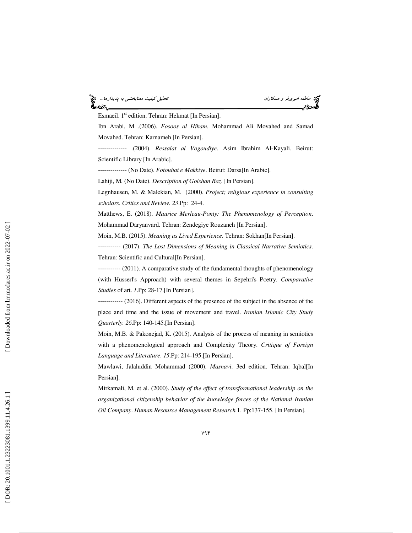#### عاطفه اميريفر و همكاران تحليل كيفيت معنابخشي به پديدارها... æs.

Esmaeil.  $1<sup>st</sup>$  edition. Tehran: Hekmat [In Persian].

Ibn Arabi, M .(2006). *Fosoos al Hikam*. Mohammad Ali Movahed and Samad Movahed. Tehran: Karnameh [In Persian].

-------------- .(2004). *Ressalat al Vogoudiye*. Asim Ibrahim Al-Kayali. Beirut: Scientific Library [In Arabic].

-------------- (No Date). *Fotouhat e Makkiye*. Beirut: Darsa[In Arabic].

Lahiji, M*.* (No Date). *Description of Golshan Raz*. [In Persian].

Legnhausen, M. & Malekian, M. (2000). *Project; religious experience in consulting scholars*. *Critics and Review*. *23*.Pp: 24-4.

Matthews, E. (2018). *Maurice Merleau-Ponty: The Phenomenology of Perception*. Mohammad Daryanvard. Tehran: Zendegiye Rouzaneh [In Persian].

Moin, M.B. (2015). *Meaning as Lived Experience*. Tehran: Sokhan[In Persian].

----------- (2017). *The Lost Dimensions of Meaning in Classical Narrative Semiotics*. Tehran: Scientific and Cultural[In Persian].

----------- (2011). A comparative study of the fundamental thoughts of phenomenology (with Husserl's Approach) with several themes in Sepehri's Poetry. *Comparative Studies* of art. *1*.Pp: 28-17.[In Persian].

------------ (2016). Different aspects of the presence of the subject in the absence of the place and time and the issue of movement and travel. *Iranian Islamic City Study Quarterly. 26*.Pp: 140-145.[In Persian].

Moin, M.B. & Pakonejad, K. (2015). Analysis of the process of meaning in semiotics with a phenomenological approach and Complexity Theory. *Critique of Foreign Language and Literature*. *15*.Pp: 214-195.[In Persian].

Mawlawi, Jalaluddin Mohammad (2000). *Masnavi*. 3ed edition. Tehran: Iqbal[In Persian].

Mirkamali, M. et al. (2000). *Study of the effect of transformational leadership on the organizational citizenship behavior of the knowledge forces of the National Iranian Oil Company*. *Human Resource Management Research* 1. Pp:137-155. [In Persian].